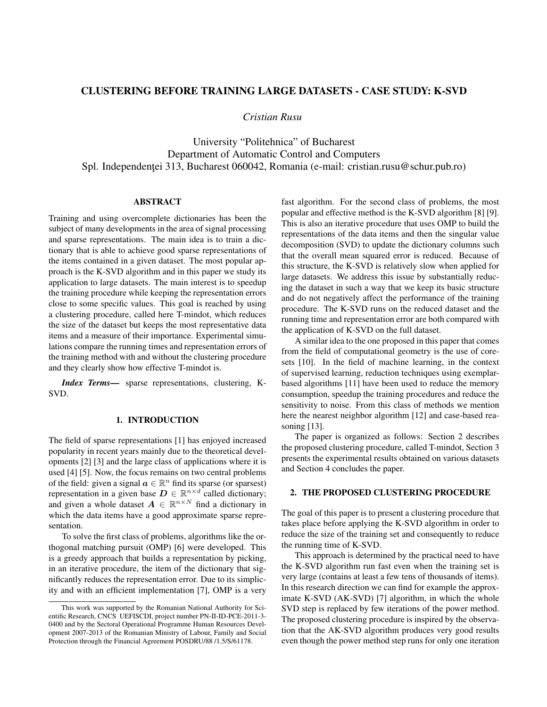# CLUSTERING BEFORE TRAINING LARGE DATASETS - CASE STUDY: K-SVD

*Cristian Rusu*

University "Politehnica" of Bucharest Department of Automatic Control and Computers Spl. Independenței 313, Bucharest 060042, Romania (e-mail: cristian.rusu@schur.pub.ro)

## ABSTRACT

Training and using overcomplete dictionaries has been the subject of many developments in the area of signal processing and sparse representations. The main idea is to train a dictionary that is able to achieve good sparse representations of the items contained in a given dataset. The most popular approach is the K-SVD algorithm and in this paper we study its application to large datasets. The main interest is to speedup the training procedure while keeping the representation errors close to some specific values. This goal is reached by using a clustering procedure, called here T-mindot, which reduces the size of the dataset but keeps the most representative data items and a measure of their importance. Experimental simulations compare the running times and representation errors of the training method with and without the clustering procedure and they clearly show how effective T-mindot is.

*Index Terms*— sparse representations, clustering, K-SVD.

### 1. INTRODUCTION

The field of sparse representations [1] has enjoyed increased popularity in recent years mainly due to the theoretical developments [2] [3] and the large class of applications where it is used [4] [5]. Now, the focus remains on two central problems of the field: given a signal  $\mathbf{a} \in \mathbb{R}^n$  find its sparse (or sparsest) representation in a given base  $D \in \mathbb{R}^{n \times d}$  called dictionary; and given a whole dataset  $A \in \mathbb{R}^{n \times N}$  find a dictionary in which the data items have a good approximate sparse representation.

To solve the first class of problems, algorithms like the orthogonal matching pursuit (OMP) [6] were developed. This is a greedy approach that builds a representation by picking, in an iterative procedure, the item of the dictionary that significantly reduces the representation error. Due to its simplicity and with an efficient implementation [7], OMP is a very

fast algorithm. For the second class of problems, the most popular and effective method is the K-SVD algorithm [8] [9]. This is also an iterative procedure that uses OMP to build the representations of the data items and then the singular value decomposition (SVD) to update the dictionary columns such that the overall mean squared error is reduced. Because of this structure, the K-SVD is relatively slow when applied for large datasets. We address this issue by substantially reducing the dataset in such a way that we keep its basic structure and do not negatively affect the performance of the training procedure. The K-SVD runs on the reduced dataset and the running time and representation error are both compared with the application of K-SVD on the full dataset.

A similar idea to the one proposed in this paper that comes from the field of computational geometry is the use of coresets [10]. In the field of machine learning, in the context of supervised learning, reduction techniques using exemplarbased algorithms [11] have been used to reduce the memory consumption, speedup the training procedures and reduce the sensitivity to noise. From this class of methods we mention here the nearest neighbor algorithm [12] and case-based reasoning [13].

The paper is organized as follows: Section 2 describes the proposed clustering procedure, called T-mindot, Section 3 presents the experimental results obtained on various datasets and Section 4 concludes the paper.

#### 2. THE PROPOSED CLUSTERING PROCEDURE

The goal of this paper is to present a clustering procedure that takes place before applying the K-SVD algorithm in order to reduce the size of the training set and consequently to reduce the running time of K-SVD.

This approach is determined by the practical need to have the K-SVD algorithm run fast even when the training set is very large (contains at least a few tens of thousands of items). In this research direction we can find for example the approximate K-SVD (AK-SVD) [7] algorithm, in which the whole SVD step is replaced by few iterations of the power method. The proposed clustering procedure is inspired by the observation that the AK-SVD algorithm produces very good results even though the power method step runs for only one iteration

This work was supported by the Romanian National Authority for Scientific Research, CNCS UEFISCDI, project number PN-II-ID-PCE-2011-3- 0400 and by the Sectoral Operational Programme Human Resources Development 2007-2013 of the Romanian Ministry of Labour, Family and Social Protection through the Financial Agreement POSDRU/88 /1.5/S/61178.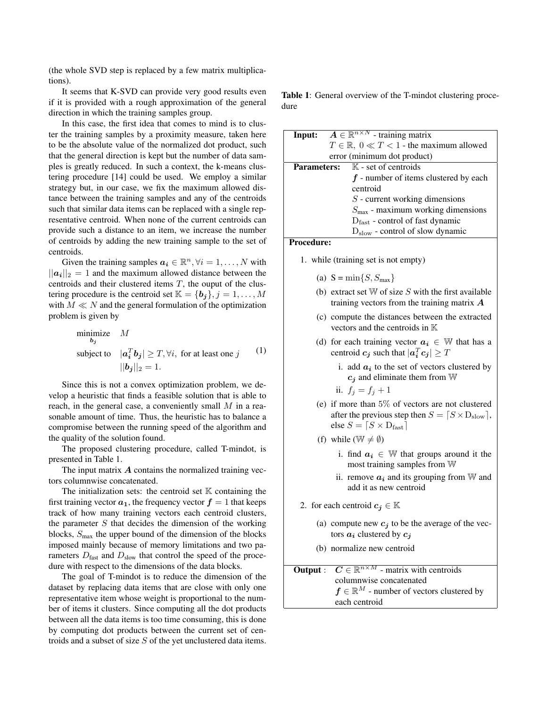(the whole SVD step is replaced by a few matrix multiplications).

It seems that K-SVD can provide very good results even if it is provided with a rough approximation of the general direction in which the training samples group.

In this case, the first idea that comes to mind is to cluster the training samples by a proximity measure, taken here to be the absolute value of the normalized dot product, such that the general direction is kept but the number of data samples is greatly reduced. In such a context, the k-means clustering procedure [14] could be used. We employ a similar strategy but, in our case, we fix the maximum allowed distance between the training samples and any of the centroids such that similar data items can be replaced with a single representative centroid. When none of the current centroids can provide such a distance to an item, we increase the number of centroids by adding the new training sample to the set of centroids.

Given the training samples  $a_i \in \mathbb{R}^n, \forall i = 1, ..., N$  with  $||a_i||_2 = 1$  and the maximum allowed distance between the centroids and their clustered items  $T$ , the ouput of the clustering procedure is the centroid set  $\mathbb{K} = \{b_j\}, j = 1, \ldots, M$ with  $M \ll N$  and the general formulation of the optimization problem is given by

minimize 
$$
M
$$
  
\nsubject to  $|\mathbf{a}_i^T \mathbf{b}_j| \geq T, \forall i$ , for at least one  $j$  (1)  
\n $||\mathbf{b}_j||_2 = 1$ .

Since this is not a convex optimization problem, we develop a heuristic that finds a feasible solution that is able to reach, in the general case, a conveniently small  $M$  in a reasonable amount of time. Thus, the heuristic has to balance a compromise between the running speed of the algorithm and the quality of the solution found.

The proposed clustering procedure, called T-mindot, is presented in Table 1.

The input matrix  $\boldsymbol{A}$  contains the normalized training vectors columnwise concatenated.

The initialization sets: the centroid set  $K$  containing the first training vector  $a_1$ , the frequency vector  $f = 1$  that keeps track of how many training vectors each centroid clusters, the parameter  $S$  that decides the dimension of the working blocks,  $S_{\text{max}}$  the upper bound of the dimension of the blocks imposed mainly because of memory limitations and two parameters  $D_{\text{fast}}$  and  $D_{\text{slow}}$  that control the speed of the procedure with respect to the dimensions of the data blocks.

The goal of T-mindot is to reduce the dimension of the dataset by replacing data items that are close with only one representative item whose weight is proportional to the number of items it clusters. Since computing all the dot products between all the data items is too time consuming, this is done by computing dot products between the current set of centroids and a subset of size S of the yet unclustered data items.

Table 1: General overview of the T-mindot clustering procedure

| Input:                           | $\mathbf{A} \in \mathbb{R}^{n \times N}$ - training matrix |  |  |  |  |
|----------------------------------|------------------------------------------------------------|--|--|--|--|
|                                  | $T \in \mathbb{R}$ , $0 \ll T < 1$ - the maximum allowed   |  |  |  |  |
|                                  | error (minimum dot product)                                |  |  |  |  |
|                                  | <b>Parameters:</b> $\mathbb{K}$ - set of centroids         |  |  |  |  |
|                                  | $f$ - number of items clustered by each                    |  |  |  |  |
| centroid                         |                                                            |  |  |  |  |
| $S$ - current working dimensions |                                                            |  |  |  |  |
|                                  | $Smax$ - maximum working dimensions                        |  |  |  |  |
|                                  | $Dfast$ - control of fast dynamic                          |  |  |  |  |
|                                  | $D_{slow}$ - control of slow dynamic                       |  |  |  |  |

Procedure:

- 1. while (training set is not empty)
	- (a)  $S = min\{S, S_{max}\}\$
	- (b) extract set  $W$  of size  $S$  with the first available training vectors from the training matrix  $\boldsymbol{A}$
	- (c) compute the distances between the extracted vectors and the centroids in K
	- (d) for each training vector  $a_i \in \mathbb{W}$  that has a centroid  $\boldsymbol{c_j}$  such that  $|\boldsymbol{a_i^T}\boldsymbol{c_j}| \geq T$ 
		- i. add  $a_i$  to the set of vectors clustered by  $c_j$  and eliminate them from W
		- ii.  $f_j = f_j + 1$
	- (e) if more than 5% of vectors are not clustered after the previous step then  $S = \lceil S \times D_{\text{slow}} \rceil$ , else  $S = \lceil S \times D_{\text{fast}} \rceil$
	- (f) while ( $\mathbb{W} \neq \emptyset$ )
		- i. find  $a_i \in \mathbb{W}$  that groups around it the most training samples from W
		- ii. remove  $a_i$  and its grouping from W and add it as new centroid
- 2. for each centroid  $c_j \in \mathbb{K}$ 
	- (a) compute new  $c_j$  to be the average of the vectors  $a_i$  clustered by  $c_i$
	- (b) normalize new centroid

| <b>Output</b> : $C \in \mathbb{R}^{n \times M}$ - matrix with centroids |  |  |
|-------------------------------------------------------------------------|--|--|
| columnwise concatenated                                                 |  |  |
| $f \in \mathbb{R}^M$ - number of vectors clustered by                   |  |  |
| each centroid                                                           |  |  |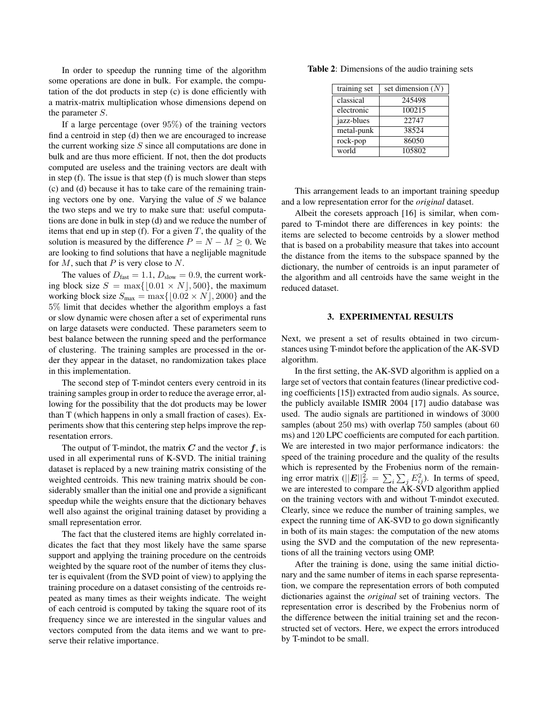In order to speedup the running time of the algorithm some operations are done in bulk. For example, the computation of the dot products in step (c) is done efficiently with a matrix-matrix multiplication whose dimensions depend on the parameter S.

If a large percentage (over  $95\%$ ) of the training vectors find a centroid in step (d) then we are encouraged to increase the current working size  $S$  since all computations are done in bulk and are thus more efficient. If not, then the dot products computed are useless and the training vectors are dealt with in step (f). The issue is that step (f) is much slower than steps (c) and (d) because it has to take care of the remaining training vectors one by one. Varying the value of  $S$  we balance the two steps and we try to make sure that: useful computations are done in bulk in step (d) and we reduce the number of items that end up in step (f). For a given  $T$ , the quality of the solution is measured by the difference  $P = N - M \geq 0$ . We are looking to find solutions that have a neglijable magnitude for  $M$ , such that  $P$  is very close to  $N$ .

The values of  $D_{\text{fast}} = 1.1, D_{\text{slow}} = 0.9$ , the current working block size  $S = \max\{|0.01 \times N|, 500\}$ , the maximum working block size  $S_{\text{max}} = \max\{[0.02 \times N], 2000\}$  and the 5% limit that decides whether the algorithm employs a fast or slow dynamic were chosen after a set of experimental runs on large datasets were conducted. These parameters seem to best balance between the running speed and the performance of clustering. The training samples are processed in the order they appear in the dataset, no randomization takes place in this implementation.

The second step of T-mindot centers every centroid in its training samples group in order to reduce the average error, allowing for the possibility that the dot products may be lower than T (which happens in only a small fraction of cases). Experiments show that this centering step helps improve the representation errors.

The output of T-mindot, the matrix  $C$  and the vector  $f$ , is used in all experimental runs of K-SVD. The initial training dataset is replaced by a new training matrix consisting of the weighted centroids. This new training matrix should be considerably smaller than the initial one and provide a significant speedup while the weights ensure that the dictionary behaves well also against the original training dataset by providing a small representation error.

The fact that the clustered items are highly correlated indicates the fact that they most likely have the same sparse support and applying the training procedure on the centroids weighted by the square root of the number of items they cluster is equivalent (from the SVD point of view) to applying the training procedure on a dataset consisting of the centroids repeated as many times as their weights indicate. The weight of each centroid is computed by taking the square root of its frequency since we are interested in the singular values and vectors computed from the data items and we want to preserve their relative importance.

|  | <b>Table 2:</b> Dimensions of the audio training sets |  |  |  |  |
|--|-------------------------------------------------------|--|--|--|--|
|--|-------------------------------------------------------|--|--|--|--|

| training set | set dimension $(N)$ |  |
|--------------|---------------------|--|
| classical    | 245498              |  |
| electronic   | 100215              |  |
| jazz-blues   | 22747               |  |
| metal-punk   | 38524               |  |
| rock-pop     | 86050               |  |
| world        | 105802              |  |

This arrangement leads to an important training speedup and a low representation error for the *original* dataset.

Albeit the coresets approach [16] is similar, when compared to T-mindot there are differences in key points: the items are selected to become centroids by a slower method that is based on a probability measure that takes into account the distance from the items to the subspace spanned by the dictionary, the number of centroids is an input parameter of the algorithm and all centroids have the same weight in the reduced dataset.

#### 3. EXPERIMENTAL RESULTS

Next, we present a set of results obtained in two circumstances using T-mindot before the application of the AK-SVD algorithm.

In the first setting, the AK-SVD algorithm is applied on a large set of vectors that contain features (linear predictive coding coefficients [15]) extracted from audio signals. As source, the publicly available ISMIR 2004 [17] audio database was used. The audio signals are partitioned in windows of 3000 samples (about 250 ms) with overlap 750 samples (about 60 ms) and 120 LPC coefficients are computed for each partition. We are interested in two major performance indicators: the speed of the training procedure and the quality of the results which is represented by the Frobenius norm of the remaining error matrix ( $||E||_F^2 = \sum_i \sum_j E_{ij}^2$ ). In terms of speed, we are interested to compare the AK-SVD algorithm applied on the training vectors with and without T-mindot executed. Clearly, since we reduce the number of training samples, we expect the running time of AK-SVD to go down significantly in both of its main stages: the computation of the new atoms using the SVD and the computation of the new representations of all the training vectors using OMP.

After the training is done, using the same initial dictionary and the same number of items in each sparse representation, we compare the representation errors of both computed dictionaries against the *original* set of training vectors. The representation error is described by the Frobenius norm of the difference between the initial training set and the reconstructed set of vectors. Here, we expect the errors introduced by T-mindot to be small.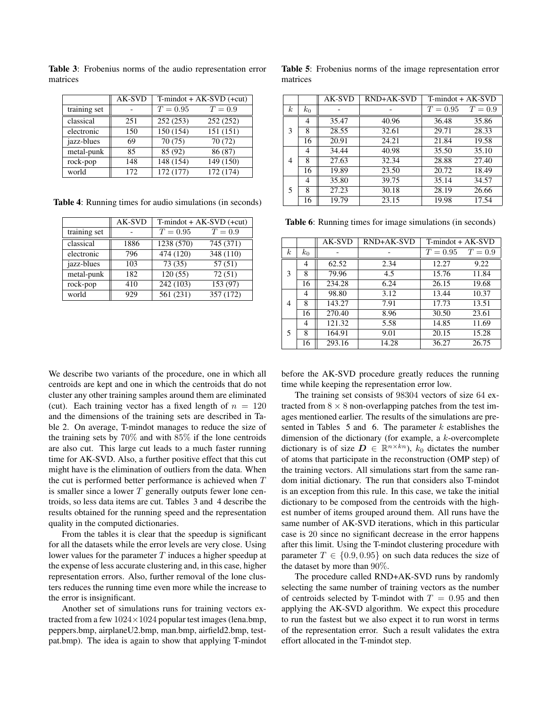|              | AK-SVD | $T\text{-mindot} + AK-SVD$ (+cut) |           |  |
|--------------|--------|-----------------------------------|-----------|--|
| training set |        | $T = 0.95$                        | $T=0.9$   |  |
| classical    | 251    | 252(253)                          | 252 (252) |  |
| electronic   | 150    | 150(154)                          | 151(151)  |  |
| jazz-blues   | 69     | 70(75)                            | 70(72)    |  |
| metal-punk   | 85     | 85 (92)                           | 86 (87)   |  |
| rock-pop     | 148    | 148 (154)                         | 149 (150) |  |
| world        | 172    | 172 (177)                         | 172 (174) |  |

Table 3: Frobenius norms of the audio representation error matrices

Table 4: Running times for audio simulations (in seconds)

|              | <b>AK-SVD</b> | $T\text{-}mindot + AK-SVD (+cut)$ |           |  |
|--------------|---------------|-----------------------------------|-----------|--|
| training set |               | $T = 0.95$                        | $T=0.9$   |  |
| classical    | 1886          | 1238 (570)                        | 745 (371) |  |
| electronic   | 796           | 474 (120)                         | 348 (110) |  |
| jazz-blues   | 103           | 73(35)                            | 57(51)    |  |
| metal-punk   | 182           | 120(55)                           | 72(51)    |  |
| rock-pop     | 410           | 242 (103)                         | 153 (97)  |  |
| world        | 929           | 561 (231)                         | 357 (172) |  |

Table 5: Frobenius norms of the image representation error matrices

|                  |       | AK-SVD | <b>RND+AK-SVD</b> | T-mindot + AK-SVD |           |
|------------------|-------|--------|-------------------|-------------------|-----------|
| $\boldsymbol{k}$ | $k_0$ |        |                   | $T = 0.95$        | $T = 0.9$ |
| 3                | 4     | 35.47  | 40.96             | 36.48             | 35.86     |
|                  | 8     | 28.55  | 32.61             | 29.71             | 28.33     |
|                  | 16    | 20.91  | 24.21             | 21.84             | 19.58     |
| 4                | 4     | 34.44  | 40.98             | 35.50             | 35.10     |
|                  | 8     | 27.63  | 32.34             | 28.88             | 27.40     |
|                  | 16    | 19.89  | 23.50             | 20.72             | 18.49     |
| 5                | 4     | 35.80  | 39.75             | 35.14             | 34.57     |
|                  | 8     | 27.23  | 30.18             | 28.19             | 26.66     |
|                  | 16    | 19.79  | 23.15             | 19.98             | 17.54     |

Table 6: Running times for image simulations (in seconds)

|                  |       | <b>AK-SVD</b> | RND+AK-SVD | T-mindot + AK-SVD |         |
|------------------|-------|---------------|------------|-------------------|---------|
| $\boldsymbol{k}$ | $k_0$ |               |            | $T = 0.95$        | $T=0.9$ |
| 3                | 4     | 62.52         | 2.34       | 12.27             | 9.22    |
|                  | 8     | 79.96         | 4.5        | 15.76             | 11.84   |
|                  | 16    | 234.28        | 6.24       | 26.15             | 19.68   |
| 4                | 4     | 98.80         | 3.12       | 13.44             | 10.37   |
|                  | 8     | 143.27        | 7.91       | 17.73             | 13.51   |
|                  | 16    | 270.40        | 8.96       | 30.50             | 23.61   |
| 5                | 4     | 121.32        | 5.58       | 14.85             | 11.69   |
|                  | 8     | 164.91        | 9.01       | 20.15             | 15.28   |
|                  | 16    | 293.16        | 14.28      | 36.27             | 26.75   |

We describe two variants of the procedure, one in which all centroids are kept and one in which the centroids that do not cluster any other training samples around them are eliminated (cut). Each training vector has a fixed length of  $n = 120$ and the dimensions of the training sets are described in Table 2. On average, T-mindot manages to reduce the size of the training sets by 70% and with 85% if the lone centroids are also cut. This large cut leads to a much faster running time for AK-SVD. Also, a further positive effect that this cut might have is the elimination of outliers from the data. When the cut is performed better performance is achieved when T is smaller since a lower  $T$  generally outputs fewer lone centroids, so less data items are cut. Tables 3 and 4 describe the results obtained for the running speed and the representation quality in the computed dictionaries.

From the tables it is clear that the speedup is significant for all the datasets while the error levels are very close. Using lower values for the parameter  $T$  induces a higher speedup at the expense of less accurate clustering and, in this case, higher representation errors. Also, further removal of the lone clusters reduces the running time even more while the increase to the error is insignificant.

Another set of simulations runs for training vectors extracted from a few  $1024 \times 1024$  popular test images (lena.bmp, peppers.bmp, airplaneU2.bmp, man.bmp, airfield2.bmp, testpat.bmp). The idea is again to show that applying T-mindot before the AK-SVD procedure greatly reduces the running time while keeping the representation error low.

The training set consists of 98304 vectors of size 64 extracted from  $8 \times 8$  non-overlapping patches from the test images mentioned earlier. The results of the simulations are presented in Tables  $5$  and  $6$ . The parameter  $k$  establishes the dimension of the dictionary (for example, a k-overcomplete dictionary is of size  $D \in \mathbb{R}^{n \times kn}$ ),  $k_0$  dictates the number of atoms that participate in the reconstruction (OMP step) of the training vectors. All simulations start from the same random initial dictionary. The run that considers also T-mindot is an exception from this rule. In this case, we take the initial dictionary to be composed from the centroids with the highest number of items grouped around them. All runs have the same number of AK-SVD iterations, which in this particular case is 20 since no significant decrease in the error happens after this limit. Using the T-mindot clustering procedure with parameter  $T \in \{0.9, 0.95\}$  on such data reduces the size of the dataset by more than 90%.

The procedure called RND+AK-SVD runs by randomly selecting the same number of training vectors as the number of centroids selected by T-mindot with  $T = 0.95$  and then applying the AK-SVD algorithm. We expect this procedure to run the fastest but we also expect it to run worst in terms of the representation error. Such a result validates the extra effort allocated in the T-mindot step.